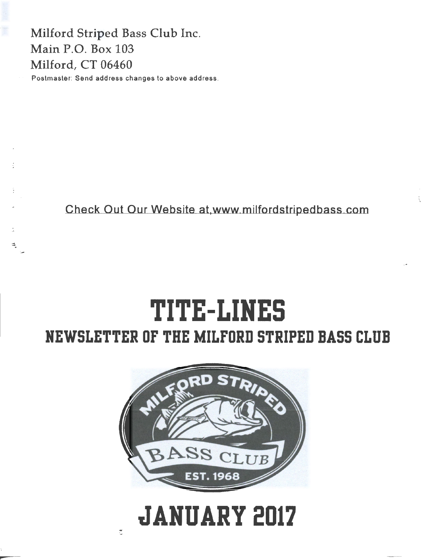Milford Striped Bass Club Inc. Main P.O. Box 103 Milford, CT 06460 Postmaster: Send address changes to above address.

ă,

Check Out Our Website at,www milfordstripedbass com

# **TITE-LIHES NEWSLETTER OF THE MILFORD STRIPED BASS CLUB**



# **JANUARY 2017**

 $\tilde{\mathbb{C}}$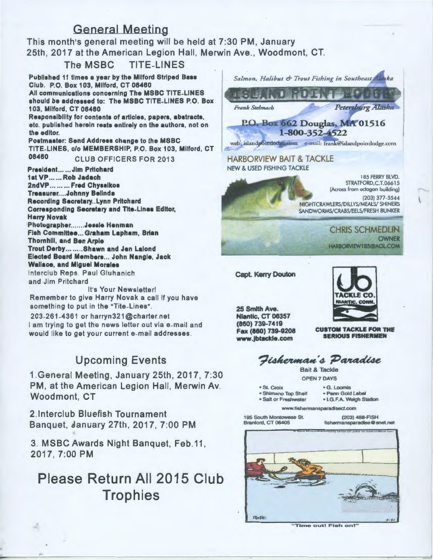### General Meeting

This month's general meeting will be held at 7:30 PM, January 25th , 2017 at the American Legion Hall, Merwin Ave. , Woodmont, CT.

The MSBC TITE-LINES

Published 11 times a year by the Milford Striped Bass Club. P.O. Box 103, Milford, CT 06460 All communications concerning The MSBC TITE-LINES should be addressed to: The MSBC TITE-LINES P.O. Box 103, Milford, CT 08480

Responsibility for contents of articles, papers, abstracts, etc. published herein rests entirely on the authors, not on the editor.

Postmaster: Send Address change to the MSBC TITE-LINES, c/o MEMBERSHIP, P.O. Box 103, Milford, CT 06460 CLUB OFFICERS FOR 2013

President.. .... Jim Pritchard 1st VP ...... Rob Jadach 2ndVP ...... ... Fred Chysslkos Treasurer....Johnny Belinda Recording Secretary..Lynn Pritchard Corresponding Secretary and Tite-Lines Editor, Harry Novak Photographer.......Jessie Henman Fish Committee ... Graham Lapham, Brian Thornhill, and Ben Arple Trout Derby........ Shawn and Jen Lalond Elected Board Members... John Nangle, Jack Wallace, and Miguel Morales lnterclub Reps . Paul Gluhanich

and Jim Pritchard

It's Your Newsletter! Remember to give Harry Novak a call if you have something to put in the "Tite-Lines".

203-261-4361 or harryn321 @charter. net I am trying to get the news letter out via e-mail and would like to get your current e-mail addresses .

### Upcoming\_ Events

1.General Meeting, January 25th, 2017, 7:30 PM, at the American Legion Hall, Merwin Av. Woodmont, CT

2.1nterclub Bluefish Tournament Banquet, January 27th, 2017, 7:00 PM

3. MSBC Awards Night Banquet, Feb.11, 2017, 7:00PM

## Please Return All 2015 Club **Trophies**



"Time out! Fish on!"

TheRe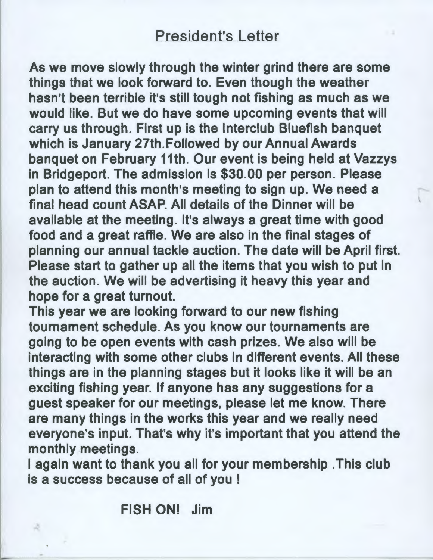## President's Letter

As we move slowly through the winter grind there are some things that we look forward to. Even though the weather hasn't been terrible it's still tough not fishing as much as we would like. But we do have some upcoming events that will carry us through. First up is the lnterclub Bluefish banquet which is January 27th.Followed by our Annual Awards banquet on February 11th. Our event is being held at Vazzys in Bridgeport. The admission is \$30.00 per person. Please plan to attend this month's meeting to sign up. We need a final head count ASAP. All details of the Dinner will be available at the meeting. It's always a great time with good food and a great raffle. We are also in the final stages of planning our annual tackle auction. The date will be April first. Please start to gather up all the items that you wish to put in the auction. We will be advertising it heavy this year and hope for a great turnout.

This year we are looking forward to our new fishing tournament schedule. As you know our tournaments are going to be open events with cash prizes. We also will be interacting with some other clubs in different events. All these things are in the planning stages but it looks like it will be an exciting fishing year. If anyone has any suggestions for a guest speaker for our meetings, please let me know. There are many things in the works this year and we really need everyone's input. That's why it's important that you attend the monthly meetings.

I again want to thank you all for your membership . This club is a success because of all of you !

FISH ON! Jim

....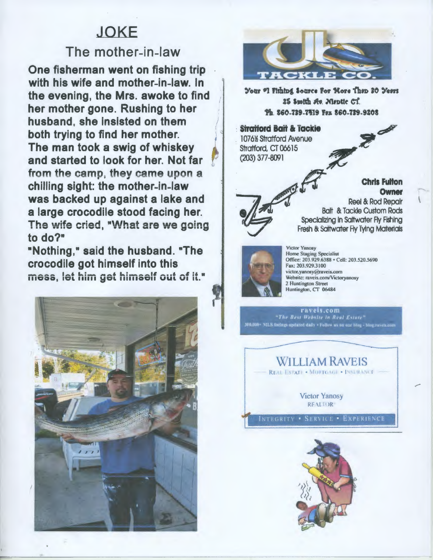# **JOKE**

### The mother-in-law

One fisherman went on fishing trip with his wife and mother-in-law. In the evening, the Mrs. awoke to find her mother gone. Rushing to her husband, she insisted on them both trying to find her mother. The man took a swig of whiskey and started to look for her. Not far from the camp, they came upon a chilling sight: the mother-in-law was backed up against a lake and a large crocodile stood facing her. The wife cried, "What are we going to do?"

"Nothing," said the husband. "The crocodile got himself into this mess, let him get himself out of it."





Your "I Fishing Source For Nore Then 30 Years 25 Spotth Av. Maptie CT. Ph 860-739-7419 Fex 860-739-9208

**Stratford Bait & Tackie** 1076% Stratford Avenue Stratford, CT 06615  $(203)$  377-8091

> **Chris Fulton** Owner Reel & Rod Repair

**Balt & Tackle Custom Rods** Specializing in Saltwater Fly Fishing Fresh & Saltwater Fly Tying Materials



**Victor Yanosy Home Staging Specialist** Office: 203.929.6388 · Cell: 203.520.5690 Fax: 203.929.3100 victor.yanosy@raveis.com Website: raveis.com/Victoryanosy 2 Huntington Street Huntington, CT 06484

raveis.com<br>"The Best Website in Real Estate" 300,000+ MLS listings updated daily . Follow us on our blog - blog.raveis.com



**Victor Yanosy REALTOR** 

INTEGRITY . SERVICE . EXPERIENCE

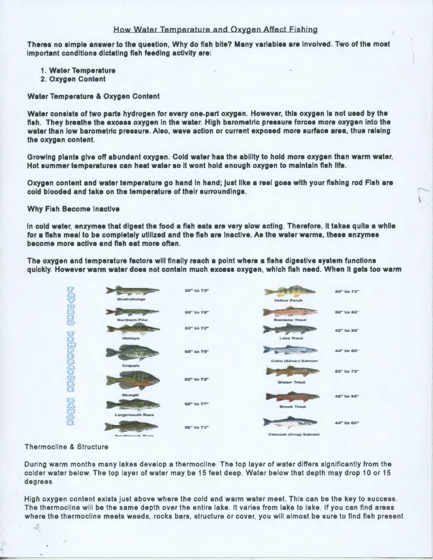#### How Water Temperature and Oxygen Affect Fishing

Theres no simple answer to the question, Why do fish bite? Many variables are involved. Two of the most Important conditions dictating fish feeding activity are:

- 1. Water Temperature
- 2. Oxygen Content

#### Water Temperature & Oxygen Content

Water consists of two parts hydrogen for every one-part oxygen. However, this oxygen Ia not used by the fish. They breathe the excess oxygen in the water. High barometric pressure forces more oxygen into the water than low barometric pressure. Also, wave action or current exposed more surface area, thus raising the oxygen content.

Growing plants give off abundant oxygen. Cold water has the ability to hold more oxygen than warm water. Hot summer temperatures can heat water so It wont hold enough oxygen to maintain fish life.

Oxygen content and water temperature go hand In hand; just like a reel goes with your fishing rod Fish are cold blooded and take on the temperature of their surroundings.

#### Why Fish Become Inactive

In cold water, enzymes that digest the food a fish eats are very slow acting. Therefore, It takes quite a while for a fishs meal to be completely utilized and the fish are Inactive. As the water warms, these enzymes become more active and fish eat more often.

The oxygen and temperature factors will finally reach a point where a fishs digestive system functions quickly. However warm water does not contain much excess oxygen, which fish need. When It gets too warm



Thermocline & Structure

ă

During warm months many lakes develop a thermocline . The top layer of water differs significantly from the colder water below. The top layer of water may be 15 feet deep. Water below that depth may drop 10 or 15 degrees

High oxygen content exists just above where the cold and warm water meet. This can be the key to success. The thermocline will be the same depth over the entire lake. It varies from lake to lake. If you can find areas where the thermocline meets weeds. rocks bars, structure or cover, you will almost be sure to find fish present